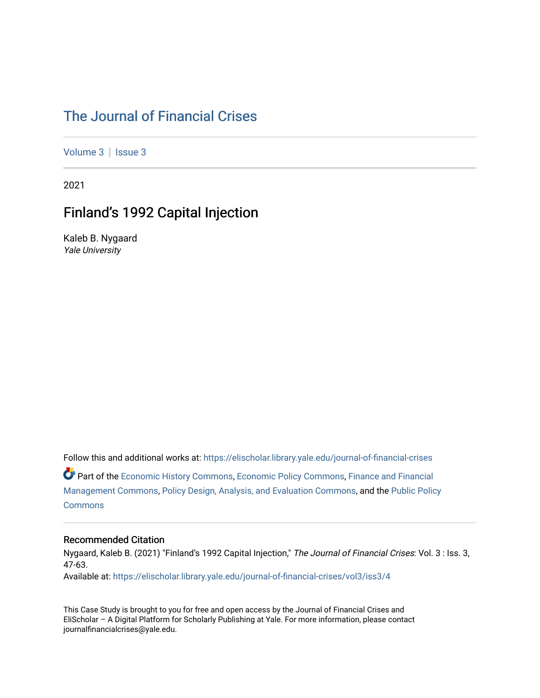### [The Journal of Financial Crises](https://elischolar.library.yale.edu/journal-of-financial-crises)

[Volume 3](https://elischolar.library.yale.edu/journal-of-financial-crises/vol3) | Issue 3

2021

### Finland's 1992 Capital Injection

Kaleb B. Nygaard Yale University

Follow this and additional works at: [https://elischolar.library.yale.edu/journal-of-financial-crises](https://elischolar.library.yale.edu/journal-of-financial-crises?utm_source=elischolar.library.yale.edu%2Fjournal-of-financial-crises%2Fvol3%2Fiss3%2F4&utm_medium=PDF&utm_campaign=PDFCoverPages)  Part of the [Economic History Commons](http://network.bepress.com/hgg/discipline/343?utm_source=elischolar.library.yale.edu%2Fjournal-of-financial-crises%2Fvol3%2Fiss3%2F4&utm_medium=PDF&utm_campaign=PDFCoverPages), [Economic Policy Commons,](http://network.bepress.com/hgg/discipline/1025?utm_source=elischolar.library.yale.edu%2Fjournal-of-financial-crises%2Fvol3%2Fiss3%2F4&utm_medium=PDF&utm_campaign=PDFCoverPages) [Finance and Financial](http://network.bepress.com/hgg/discipline/631?utm_source=elischolar.library.yale.edu%2Fjournal-of-financial-crises%2Fvol3%2Fiss3%2F4&utm_medium=PDF&utm_campaign=PDFCoverPages)  [Management Commons](http://network.bepress.com/hgg/discipline/631?utm_source=elischolar.library.yale.edu%2Fjournal-of-financial-crises%2Fvol3%2Fiss3%2F4&utm_medium=PDF&utm_campaign=PDFCoverPages), [Policy Design, Analysis, and Evaluation Commons,](http://network.bepress.com/hgg/discipline/1032?utm_source=elischolar.library.yale.edu%2Fjournal-of-financial-crises%2Fvol3%2Fiss3%2F4&utm_medium=PDF&utm_campaign=PDFCoverPages) and the [Public Policy](http://network.bepress.com/hgg/discipline/400?utm_source=elischolar.library.yale.edu%2Fjournal-of-financial-crises%2Fvol3%2Fiss3%2F4&utm_medium=PDF&utm_campaign=PDFCoverPages)  **[Commons](http://network.bepress.com/hgg/discipline/400?utm_source=elischolar.library.yale.edu%2Fjournal-of-financial-crises%2Fvol3%2Fiss3%2F4&utm_medium=PDF&utm_campaign=PDFCoverPages)** 

#### Recommended Citation

Nygaard, Kaleb B. (2021) "Finland's 1992 Capital Injection," The Journal of Financial Crises: Vol. 3 : Iss. 3, 47-63.

Available at: [https://elischolar.library.yale.edu/journal-of-financial-crises/vol3/iss3/4](https://elischolar.library.yale.edu/journal-of-financial-crises/vol3/iss3/4?utm_source=elischolar.library.yale.edu%2Fjournal-of-financial-crises%2Fvol3%2Fiss3%2F4&utm_medium=PDF&utm_campaign=PDFCoverPages) 

This Case Study is brought to you for free and open access by the Journal of Financial Crises and EliScholar – A Digital Platform for Scholarly Publishing at Yale. For more information, please contact journalfinancialcrises@yale.edu.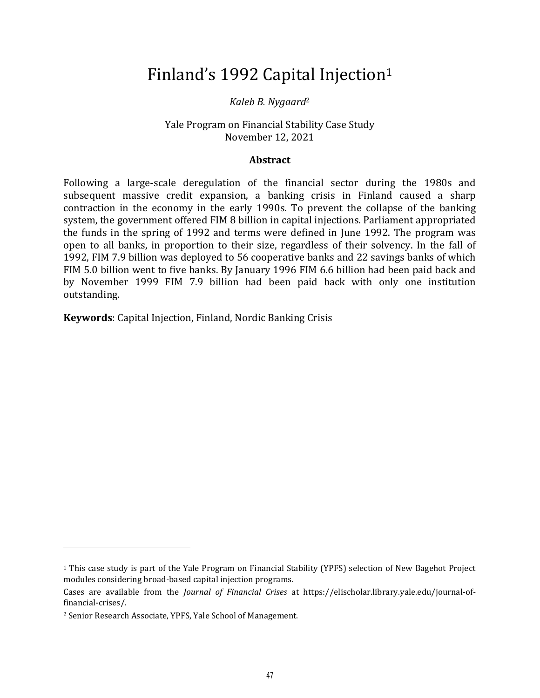# Finland's 1992 Capital Injection<sup>1</sup>

#### *Kaleb B. Nygaard*<sup>2</sup>

#### Yale Program on Financial Stability Case Study November 12, 2021

#### **Abstract**

Following a large-scale deregulation of the financial sector during the 1980s and subsequent massive credit expansion, a banking crisis in Finland caused a sharp contraction in the economy in the early 1990s. To prevent the collapse of the banking system, the government offered FIM 8 billion in capital injections. Parliament appropriated the funds in the spring of 1992 and terms were defined in June 1992. The program was open to all banks, in proportion to their size, regardless of their solvency. In the fall of 1992, FIM 7.9 billion was deployed to 56 cooperative banks and 22 savings banks of which FIM 5.0 billion went to five banks. By January 1996 FIM 6.6 billion had been paid back and by November 1999 FIM 7.9 billion had been paid back with only one institution outstanding.

**Keywords**: Capital Injection, Finland, Nordic Banking Crisis

<sup>1</sup> This case study is part of the Yale Program on Financial Stability (YPFS) selection of New Bagehot Project modules considering broad-based capital injection programs.

Cases are available from the *Journal of Financial Crises* at https://elischolar.library.yale.edu/journal-offinancial-crises/.

<sup>2</sup> Senior Research Associate, YPFS, Yale School of Management.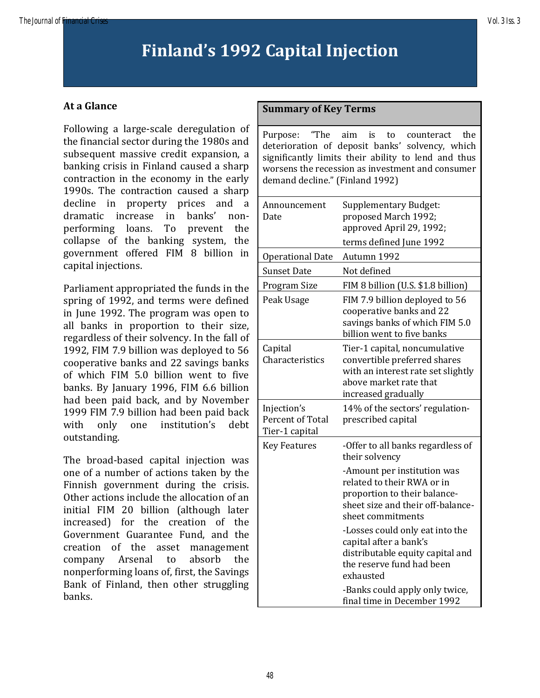# **Finland's 1992 Capital Injection**

#### **At a Glance**

Following a large-scale deregulation of the financial sector during the 1980s and subsequent massive credit expansion, a banking crisis in Finland caused a sharp contraction in the economy in the early 1990s. The contraction caused a sharp decline in property prices and a dramatic increase in banks' nonperforming loans. To prevent the collapse of the banking system, the government offered FIM 8 billion in capital injections.

Parliament appropriated the funds in the spring of 1992, and terms were defined in June 1992. The program was open to all banks in proportion to their size, regardless of their solvency. In the fall of 1992, FIM 7.9 billion was deployed to 56 cooperative banks and 22 savings banks of which FIM 5.0 billion went to five banks. By January 1996, FIM 6.6 billion had been paid back, and by November 1999 FIM 7.9 billion had been paid back with only one institution's debt outstanding.

The broad-based capital injection was one of a number of actions taken by the Finnish government during the crisis. Other actions include the allocation of an initial FIM 20 billion (although later increased) for the creation of the Government Guarantee Fund, and the creation of the asset management company Arsenal to absorb the nonperforming loans of, first, the Savings Bank of Finland, then other struggling banks.

#### **Summary of Key Terms**

Purpose: "The aim is to counteract the deterioration of deposit banks' solvency, which significantly limits their ability to lend and thus worsens the recession as investment and consumer demand decline." (Finland 1992)

| Announcement<br>Date                              | <b>Supplementary Budget:</b><br>proposed March 1992;<br>approved April 29, 1992;<br>terms defined June 1992                                          |
|---------------------------------------------------|------------------------------------------------------------------------------------------------------------------------------------------------------|
| <b>Operational Date</b>                           | Autumn 1992                                                                                                                                          |
| <b>Sunset Date</b>                                | Not defined                                                                                                                                          |
| Program Size                                      | FIM 8 billion (U.S. \$1.8 billion)                                                                                                                   |
| Peak Usage                                        | FIM 7.9 billion deployed to 56<br>cooperative banks and 22<br>savings banks of which FIM 5.0<br>billion went to five banks                           |
| Capital<br>Characteristics                        | Tier-1 capital, noncumulative<br>convertible preferred shares<br>with an interest rate set slightly<br>above market rate that<br>increased gradually |
| Injection's<br>Percent of Total<br>Tier-1 capital | 14% of the sectors' regulation-<br>prescribed capital                                                                                                |
| <b>Key Features</b>                               | -Offer to all banks regardless of<br>their solvency                                                                                                  |
|                                                   | -Amount per institution was<br>related to their RWA or in<br>proportion to their balance-<br>sheet size and their off-balance-<br>sheet commitments  |
|                                                   | -Losses could only eat into the<br>capital after a bank's<br>distributable equity capital and<br>the reserve fund had been<br>exhausted              |
|                                                   | -Banks could apply only twice,<br>final time in December 1992                                                                                        |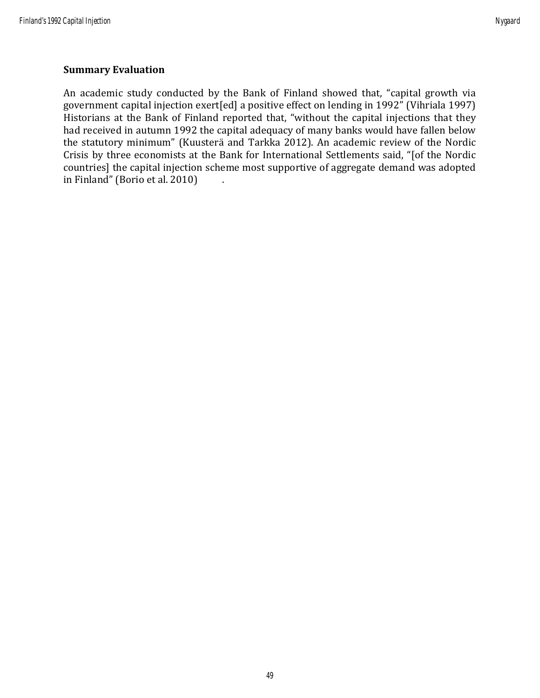#### **Summary Evaluation**

An academic study conducted by the Bank of Finland showed that, "capital growth via government capital injection exert[ed] a positive effect on lending in 1992" (Vihriala 1997) Historians at the Bank of Finland reported that, "without the capital injections that they had received in autumn 1992 the capital adequacy of many banks would have fallen below the statutory minimum" (Kuusterä and Tarkka 2012). An academic review of the Nordic Crisis by three economists at the Bank for International Settlements said, "[of the Nordic countries] the capital injection scheme most supportive of aggregate demand was adopted in Finland" (Borio et al. 2010) .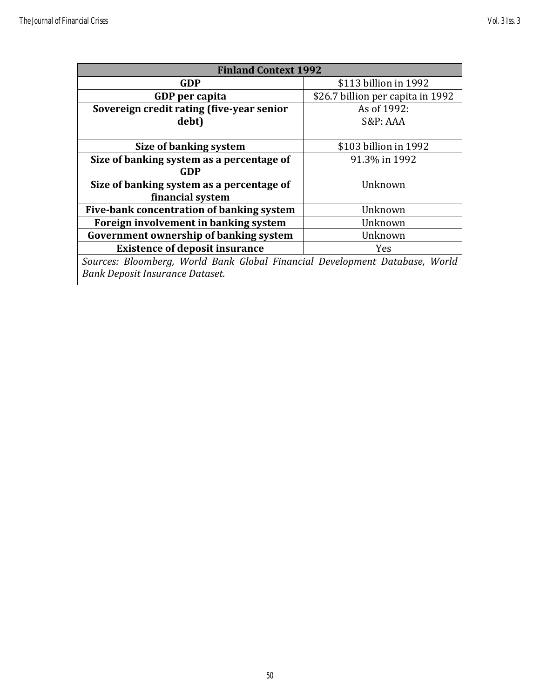| <b>Finland Context 1992</b>                                                 |                                   |  |
|-----------------------------------------------------------------------------|-----------------------------------|--|
| GDP                                                                         | \$113 billion in 1992             |  |
| GDP per capita                                                              | \$26.7 billion per capita in 1992 |  |
| Sovereign credit rating (five-year senior                                   | As of 1992:                       |  |
| debt)                                                                       | S&P: AAA                          |  |
|                                                                             |                                   |  |
| Size of banking system                                                      | \$103 billion in 1992             |  |
| Size of banking system as a percentage of                                   | 91.3% in 1992                     |  |
| GDP                                                                         |                                   |  |
| Size of banking system as a percentage of                                   | Unknown                           |  |
| financial system                                                            |                                   |  |
| Five-bank concentration of banking system                                   | Unknown                           |  |
| Foreign involvement in banking system                                       | Unknown                           |  |
| Government ownership of banking system                                      | Unknown                           |  |
| <b>Existence of deposit insurance</b>                                       | <b>Yes</b>                        |  |
| Sources: Bloomberg, World Bank Global Financial Development Database, World |                                   |  |
| Bank Deposit Insurance Dataset.                                             |                                   |  |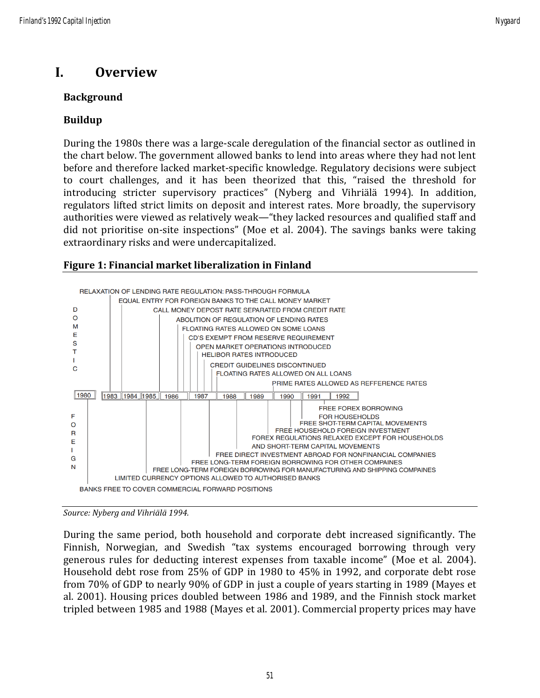# **I. Overview**

### **Background**

### **Buildup**

During the 1980s there was a large-scale deregulation of the financial sector as outlined in the chart below. The government allowed banks to lend into areas where they had not lent before and therefore lacked market-specific knowledge. Regulatory decisions were subject to court challenges, and it has been theorized that this, "raised the threshold for introducing stricter supervisory practices" (Nyberg and Vihriälä 1994). In addition, regulators lifted strict limits on deposit and interest rates. More broadly, the supervisory authorities were viewed as relatively weak—"they lacked resources and qualified staff and did not prioritise on-site inspections" (Moe et al. 2004). The savings banks were taking extraordinary risks and were undercapitalized.

#### **Figure 1: Financial market liberalization in Finland**



*Source: Nyberg and Vihriälä 1994.*

During the same period, both household and corporate debt increased significantly. The Finnish, Norwegian, and Swedish "tax systems encouraged borrowing through very generous rules for deducting interest expenses from taxable income" (Moe et al. 2004). Household debt rose from 25% of GDP in 1980 to 45% in 1992, and corporate debt rose from 70% of GDP to nearly 90% of GDP in just a couple of years starting in 1989 (Mayes et al. 2001). Housing prices doubled between 1986 and 1989, and the Finnish stock market tripled between 1985 and 1988 (Mayes et al. 2001). Commercial property prices may have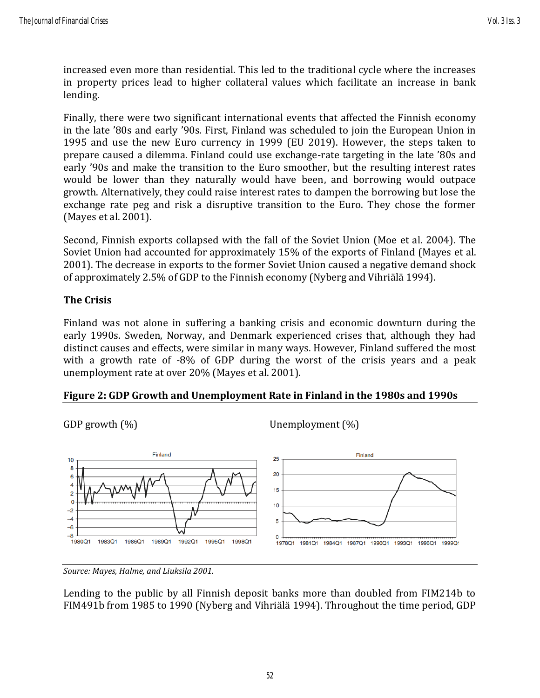increased even more than residential. This led to the traditional cycle where the increases in property prices lead to higher collateral values which facilitate an increase in bank lending.

Finally, there were two significant international events that affected the Finnish economy in the late '80s and early '90s. First, Finland was scheduled to join the European Union in 1995 and use the new Euro currency in 1999 (EU 2019). However, the steps taken to prepare caused a dilemma. Finland could use exchange-rate targeting in the late '80s and early '90s and make the transition to the Euro smoother, but the resulting interest rates would be lower than they naturally would have been, and borrowing would outpace growth. Alternatively, they could raise interest rates to dampen the borrowing but lose the exchange rate peg and risk a disruptive transition to the Euro. They chose the former (Mayes et al. 2001).

Second, Finnish exports collapsed with the fall of the Soviet Union (Moe et al. 2004). The Soviet Union had accounted for approximately 15% of the exports of Finland (Mayes et al. 2001). The decrease in exports to the former Soviet Union caused a negative demand shock of approximately 2.5% of GDP to the Finnish economy (Nyberg and Vihriälä 1994).

#### **The Crisis**

Finland was not alone in suffering a banking crisis and economic downturn during the early 1990s. Sweden, Norway, and Denmark experienced crises that, although they had distinct causes and effects, were similar in many ways. However, Finland suffered the most with a growth rate of -8% of GDP during the worst of the crisis years and a peak unemployment rate at over 20% (Mayes et al. 2001).

#### **Figure 2: GDP Growth and Unemployment Rate in Finland in the 1980s and 1990s**



*Source: Mayes, Halme, and Liuksila 2001.*

Lending to the public by all Finnish deposit banks more than doubled from FIM214b to FIM491b from 1985 to 1990 (Nyberg and Vihriälä 1994). Throughout the time period, GDP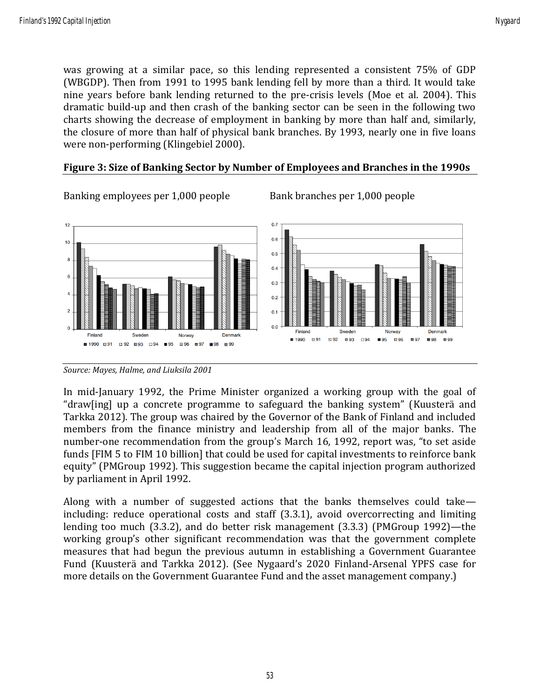was growing at a similar pace, so this lending represented a consistent 75% of GDP (WBGDP). Then from 1991 to 1995 bank lending fell by more than a third. It would take nine years before bank lending returned to the pre-crisis levels (Moe et al. 2004). This dramatic build-up and then crash of the banking sector can be seen in the following two charts showing the decrease of employment in banking by more than half and, similarly, the closure of more than half of physical bank branches. By 1993, nearly one in five loans were non-performing (Klingebiel 2000).





Banking employees per 1,000 people Bank branches per 1,000 people

In mid-January 1992, the Prime Minister organized a working group with the goal of "draw[ing] up a concrete programme to safeguard the banking system" (Kuusterä and Tarkka 2012). The group was chaired by the Governor of the Bank of Finland and included members from the finance ministry and leadership from all of the major banks. The number-one recommendation from the group's March 16, 1992, report was, "to set aside funds [FIM 5 to FIM 10 billion] that could be used for capital investments to reinforce bank equity" (PMGroup 1992). This suggestion became the capital injection program authorized by parliament in April 1992.

Along with a number of suggested actions that the banks themselves could take including: reduce operational costs and staff (3.3.1), avoid overcorrecting and limiting lending too much (3.3.2), and do better risk management (3.3.3) (PMGroup 1992)—the working group's other significant recommendation was that the government complete measures that had begun the previous autumn in establishing a Government Guarantee Fund (Kuusterä and Tarkka 2012). (See Nygaard's 2020 Finland-Arsenal YPFS case for more details on the Government Guarantee Fund and the asset management company.)

*Source: Mayes, Halme, and Liuksila 2001*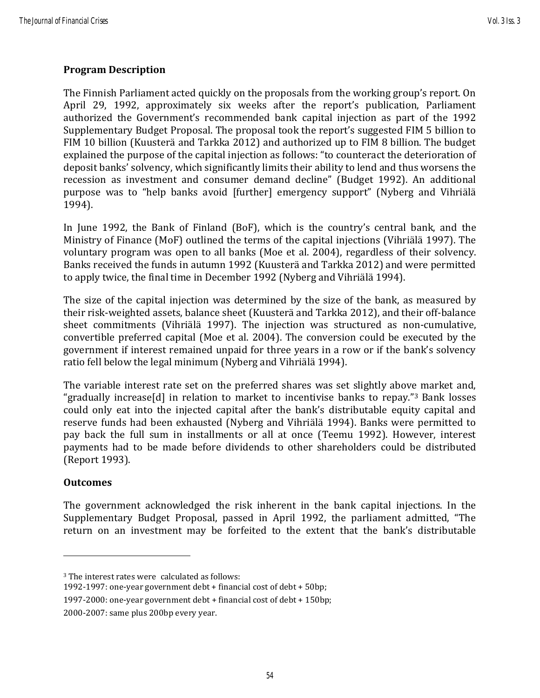#### **Program Description**

The Finnish Parliament acted quickly on the proposals from the working group's report. On April 29, 1992, approximately six weeks after the report's publication, Parliament authorized the Government's recommended bank capital injection as part of the 1992 Supplementary Budget Proposal. The proposal took the report's suggested FIM 5 billion to FIM 10 billion (Kuusterä and Tarkka 2012) and authorized up to FIM 8 billion. The budget explained the purpose of the capital injection as follows: "to counteract the deterioration of deposit banks' solvency, which significantly limits their ability to lend and thus worsens the recession as investment and consumer demand decline" (Budget 1992). An additional purpose was to "help banks avoid [further] emergency support" (Nyberg and Vihriälä 1994).

In June 1992, the Bank of Finland (BoF), which is the country's central bank, and the Ministry of Finance (MoF) outlined the terms of the capital injections (Vihriälä 1997). The voluntary program was open to all banks (Moe et al. 2004), regardless of their solvency. Banks received the funds in autumn 1992 (Kuusterä and Tarkka 2012) and were permitted to apply twice, the final time in December 1992 (Nyberg and Vihriälä 1994).

The size of the capital injection was determined by the size of the bank, as measured by their risk-weighted assets, balance sheet (Kuusterä and Tarkka 2012), and their off-balance sheet commitments (Vihriälä 1997). The injection was structured as non-cumulative, convertible preferred capital (Moe et al. 2004). The conversion could be executed by the government if interest remained unpaid for three years in a row or if the bank's solvency ratio fell below the legal minimum (Nyberg and Vihriälä 1994).

The variable interest rate set on the preferred shares was set slightly above market and, "gradually increase[d] in relation to market to incentivise banks to repay."<sup>3</sup> Bank losses could only eat into the injected capital after the bank's distributable equity capital and reserve funds had been exhausted (Nyberg and Vihriälä 1994). Banks were permitted to pay back the full sum in installments or all at once (Teemu 1992). However, interest payments had to be made before dividends to other shareholders could be distributed (Report 1993).

#### **Outcomes**

The government acknowledged the risk inherent in the bank capital injections. In the Supplementary Budget Proposal, passed in April 1992, the parliament admitted, "The return on an investment may be forfeited to the extent that the bank's distributable

<sup>3</sup> The interest rates were calculated as follows:

<sup>1992-1997:</sup> one-year government debt + financial cost of debt + 50bp;

<sup>1997-2000:</sup> one-year government debt + financial cost of debt + 150bp;

<sup>2000-2007:</sup> same plus 200bp every year.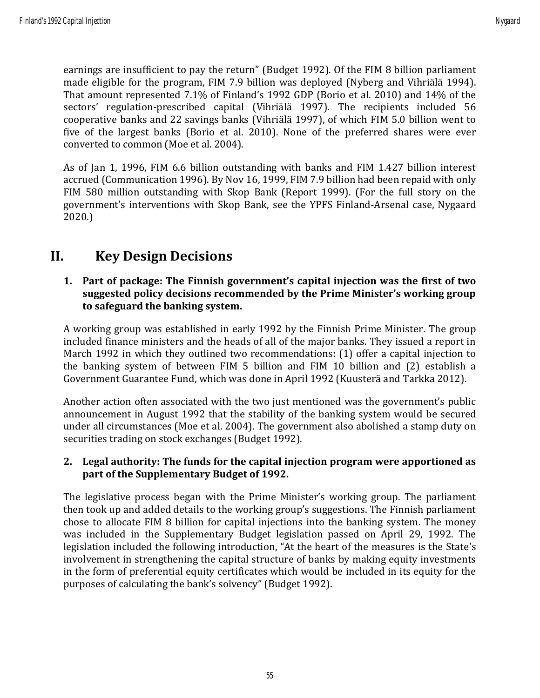earnings are insufficient to pay the return" (Budget 1992). Of the FIM 8 billion parliament made eligible for the program, FIM 7.9 billion was deployed (Nyberg and Vihriälä 1994). That amount represented 7.1% of Finland's 1992 GDP (Borio et al. 2010) and 14% of the sectors' regulation-prescribed capital (Vihriälä 1997). The recipients included 56 cooperative banks and 22 savings banks (Vihriälä 1997), of which FIM 5.0 billion went to five of the largest banks (Borio et al. 2010). None of the preferred shares were ever converted to common (Moe et al. 2004).

As of Jan 1, 1996, FIM 6.6 billion outstanding with banks and FIM 1.427 billion interest accrued (Communication 1996). By Nov 16, 1999, FIM 7.9 billion had been repaid with only FIM 580 million outstanding with Skop Bank (Report 1999). (For the full story on the government's interventions with Skop Bank, see the YPFS Finland-Arsenal case, Nygaard 2020.)

## **II. Key Design Decisions**

#### **1. Part of package: The Finnish government's capital injection was the first of two suggested policy decisions recommended by the Prime Minister's working group to safeguard the banking system.**

A working group was established in early 1992 by the Finnish Prime Minister. The group included finance ministers and the heads of all of the major banks. They issued a report in March 1992 in which they outlined two recommendations: (1) offer a capital injection to the banking system of between FIM 5 billion and FIM 10 billion and (2) establish a Government Guarantee Fund, which was done in April 1992 (Kuusterä and Tarkka 2012).

Another action often associated with the two just mentioned was the government's public announcement in August 1992 that the stability of the banking system would be secured under all circumstances (Moe et al. 2004). The government also abolished a stamp duty on securities trading on stock exchanges (Budget 1992).

#### **2. Legal authority: The funds for the capital injection program were apportioned as part of the Supplementary Budget of 1992.**

The legislative process began with the Prime Minister's working group. The parliament then took up and added details to the working group's suggestions. The Finnish parliament chose to allocate FIM 8 billion for capital injections into the banking system. The money was included in the Supplementary Budget legislation passed on April 29, 1992. The legislation included the following introduction, "At the heart of the measures is the State's involvement in strengthening the capital structure of banks by making equity investments in the form of preferential equity certificates which would be included in its equity for the purposes of calculating the bank's solvency" (Budget 1992).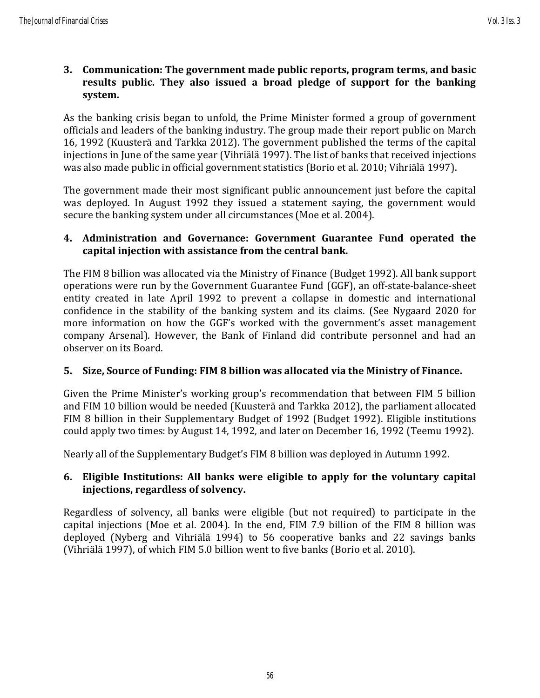#### **3. Communication: The government made public reports, program terms, and basic results public. They also issued a broad pledge of support for the banking system.**

As the banking crisis began to unfold, the Prime Minister formed a group of government officials and leaders of the banking industry. The group made their report public on March 16, 1992 (Kuusterä and Tarkka 2012). The government published the terms of the capital injections in June of the same year (Vihriälä 1997). The list of banks that received injections was also made public in official government statistics (Borio et al. 2010; Vihriälä 1997).

The government made their most significant public announcement just before the capital was deployed. In August 1992 they issued a statement saying, the government would secure the banking system under all circumstances (Moe et al. 2004).

#### **4. Administration and Governance: Government Guarantee Fund operated the capital injection with assistance from the central bank.**

The FIM 8 billion was allocated via the Ministry of Finance (Budget 1992). All bank support operations were run by the Government Guarantee Fund (GGF), an off-state-balance-sheet entity created in late April 1992 to prevent a collapse in domestic and international confidence in the stability of the banking system and its claims. (See Nygaard 2020 for more information on how the GGF's worked with the government's asset management company Arsenal). However, the Bank of Finland did contribute personnel and had an observer on its Board.

### **5. Size, Source of Funding: FIM 8 billion was allocated via the Ministry of Finance.**

Given the Prime Minister's working group's recommendation that between FIM 5 billion and FIM 10 billion would be needed (Kuusterä and Tarkka 2012), the parliament allocated FIM 8 billion in their Supplementary Budget of 1992 (Budget 1992). Eligible institutions could apply two times: by August 14, 1992, and later on December 16, 1992 (Teemu 1992).

Nearly all of the Supplementary Budget's FIM 8 billion was deployed in Autumn 1992.

#### **6. Eligible Institutions: All banks were eligible to apply for the voluntary capital injections, regardless of solvency.**

Regardless of solvency, all banks were eligible (but not required) to participate in the capital injections (Moe et al. 2004). In the end, FIM 7.9 billion of the FIM 8 billion was deployed (Nyberg and Vihriälä 1994) to 56 cooperative banks and 22 savings banks (Vihriälä 1997), of which FIM 5.0 billion went to five banks (Borio et al. 2010).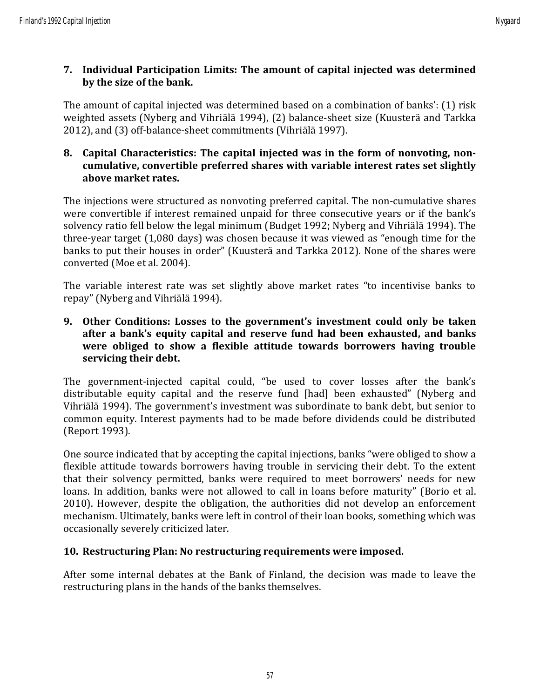### **7. Individual Participation Limits: The amount of capital injected was determined by the size of the bank.**

The amount of capital injected was determined based on a combination of banks': (1) risk weighted assets (Nyberg and Vihriälä 1994), (2) balance-sheet size (Kuusterä and Tarkka 2012), and (3) off-balance-sheet commitments (Vihriälä 1997).

#### **8. Capital Characteristics: The capital injected was in the form of nonvoting, noncumulative, convertible preferred shares with variable interest rates set slightly above market rates.**

The injections were structured as nonvoting preferred capital. The non-cumulative shares were convertible if interest remained unpaid for three consecutive years or if the bank's solvency ratio fell below the legal minimum (Budget 1992; Nyberg and Vihriälä 1994). The three-year target (1,080 days) was chosen because it was viewed as "enough time for the banks to put their houses in order" (Kuusterä and Tarkka 2012). None of the shares were converted (Moe et al. 2004).

The variable interest rate was set slightly above market rates "to incentivise banks to repay" (Nyberg and Vihriälä 1994).

#### **9. Other Conditions: Losses to the government's investment could only be taken after a bank's equity capital and reserve fund had been exhausted, and banks were obliged to show a flexible attitude towards borrowers having trouble servicing their debt.**

The government-injected capital could, "be used to cover losses after the bank's distributable equity capital and the reserve fund [had] been exhausted" (Nyberg and Vihriälä 1994). The government's investment was subordinate to bank debt, but senior to common equity. Interest payments had to be made before dividends could be distributed (Report 1993).

One source indicated that by accepting the capital injections, banks "were obliged to show a flexible attitude towards borrowers having trouble in servicing their debt. To the extent that their solvency permitted, banks were required to meet borrowers' needs for new loans. In addition, banks were not allowed to call in loans before maturity" (Borio et al. 2010). However, despite the obligation, the authorities did not develop an enforcement mechanism. Ultimately, banks were left in control of their loan books, something which was occasionally severely criticized later.

### **10. Restructuring Plan: No restructuring requirements were imposed.**

After some internal debates at the Bank of Finland, the decision was made to leave the restructuring plans in the hands of the banks themselves.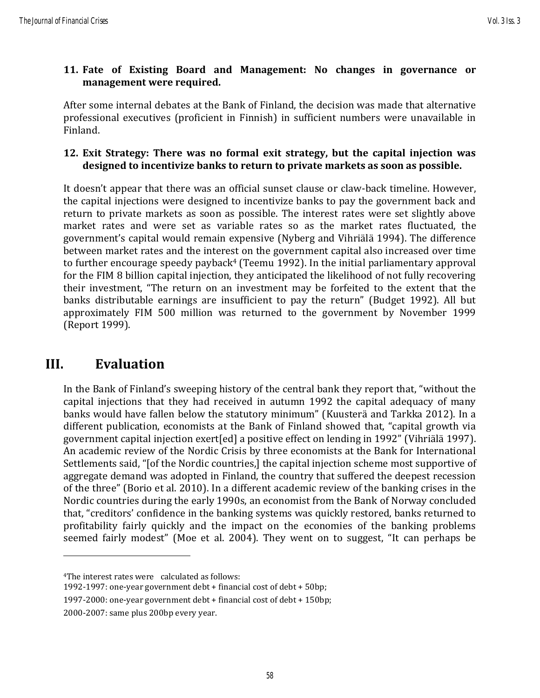#### **11. Fate of Existing Board and Management: No changes in governance or management were required.**

After some internal debates at the Bank of Finland, the decision was made that alternative professional executives (proficient in Finnish) in sufficient numbers were unavailable in Finland.

#### **12. Exit Strategy: There was no formal exit strategy, but the capital injection was designed to incentivize banks to return to private markets as soon as possible.**

It doesn't appear that there was an official sunset clause or claw-back timeline. However, the capital injections were designed to incentivize banks to pay the government back and return to private markets as soon as possible. The interest rates were set slightly above market rates and were set as variable rates so as the market rates fluctuated, the government's capital would remain expensive (Nyberg and Vihriälä 1994). The difference between market rates and the interest on the government capital also increased over time to further encourage speedy payback<sup>4</sup> (Teemu 1992). In the initial parliamentary approval for the FIM 8 billion capital injection, they anticipated the likelihood of not fully recovering their investment, "The return on an investment may be forfeited to the extent that the banks distributable earnings are insufficient to pay the return" (Budget 1992). All but approximately FIM 500 million was returned to the government by November 1999 (Report 1999).

### **III. Evaluation**

In the Bank of Finland's sweeping history of the central bank they report that, "without the capital injections that they had received in autumn 1992 the capital adequacy of many banks would have fallen below the statutory minimum" (Kuusterä and Tarkka 2012). In a different publication, economists at the Bank of Finland showed that, "capital growth via government capital injection exert[ed] a positive effect on lending in 1992" (Vihriälä 1997). An academic review of the Nordic Crisis by three economists at the Bank for International Settlements said, "[of the Nordic countries,] the capital injection scheme most supportive of aggregate demand was adopted in Finland, the country that suffered the deepest recession of the three" (Borio et al. 2010). In a different academic review of the banking crises in the Nordic countries during the early 1990s, an economist from the Bank of Norway concluded that, "creditors' confidence in the banking systems was quickly restored, banks returned to profitability fairly quickly and the impact on the economies of the banking problems seemed fairly modest" (Moe et al. 2004). They went on to suggest, "It can perhaps be

<sup>4</sup>The interest rates were calculated as follows:

<sup>1992-1997:</sup> one-year government debt + financial cost of debt + 50bp;

<sup>1997-2000:</sup> one-year government debt + financial cost of debt + 150bp;

<sup>2000-2007:</sup> same plus 200bp every year.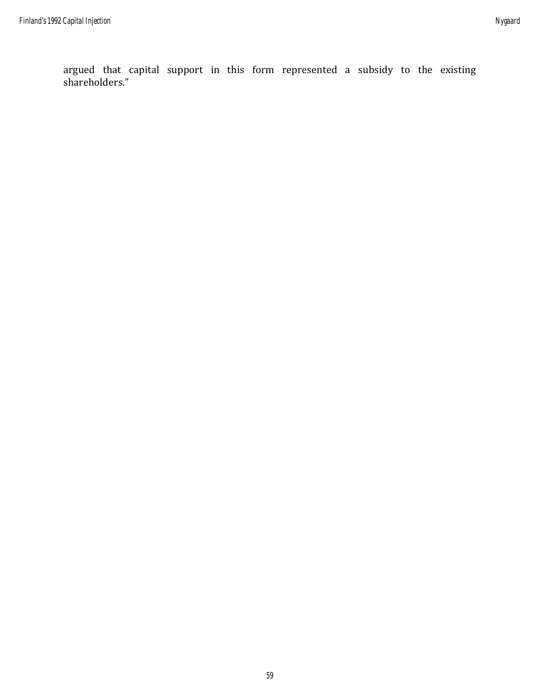argued that capital support in this form represented a subsidy to the existing shareholders."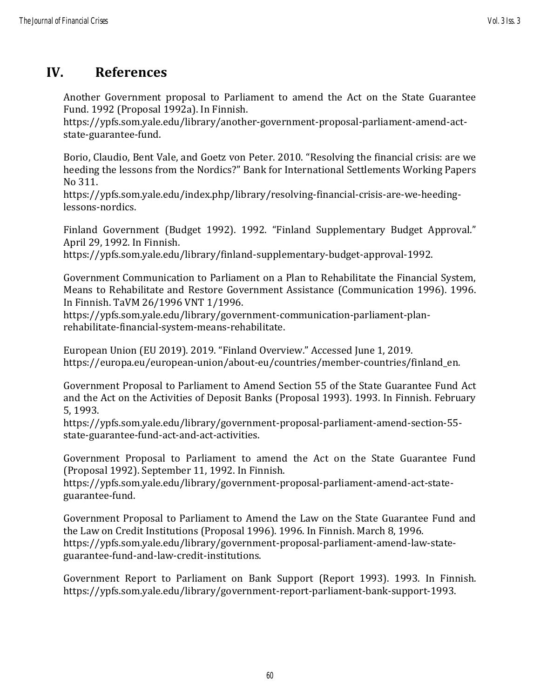# **IV. References**

Another Government proposal to Parliament to amend the Act on the State Guarantee Fund. 1992 (Proposal 1992a). In Finnish.

https://ypfs.som.yale.edu/library/another-government-proposal-parliament-amend-actstate-guarantee-fund.

Borio, Claudio, Bent Vale, and Goetz von Peter. 2010. "Resolving the financial crisis: are we heeding the lessons from the Nordics?" Bank for International Settlements Working Papers No 311.

https://ypfs.som.yale.edu/index.php/library/resolving-financial-crisis-are-we-heedinglessons-nordics.

Finland Government (Budget 1992). 1992. "Finland Supplementary Budget Approval." April 29, 1992. In Finnish.

https://ypfs.som.yale.edu/library/finland-supplementary-budget-approval-1992.

Government Communication to Parliament on a Plan to Rehabilitate the Financial System, Means to Rehabilitate and Restore Government Assistance (Communication 1996). 1996. In Finnish. TaVM 26/1996 VNT 1/1996.

https://ypfs.som.yale.edu/library/government-communication-parliament-planrehabilitate-financial-system-means-rehabilitate.

European Union (EU 2019). 2019. "Finland Overview." Accessed June 1, 2019. [https://europa.eu/european-union/about-eu/countries/member-countries/finland\\_en.](https://europa.eu/european-union/about-eu/countries/member-countries/finland_en)

Government Proposal to Parliament to Amend Section 55 of the State Guarantee Fund Act and the Act on the Activities of Deposit Banks (Proposal 1993). 1993. In Finnish. February 5, 1993.

https://ypfs.som.yale.edu/library/government-proposal-parliament-amend-section-55 state-guarantee-fund-act-and-act-activities.

Government Proposal to Parliament to amend the Act on the State Guarantee Fund (Proposal 1992). September 11, 1992. In Finnish.

https://ypfs.som.yale.edu/library/government-proposal-parliament-amend-act-stateguarantee-fund.

Government Proposal to Parliament to Amend the Law on the State Guarantee Fund and the Law on Credit Institutions (Proposal 1996). 1996. In Finnish. March 8, 1996. https://ypfs.som.yale.edu/library/government-proposal-parliament-amend-law-stateguarantee-fund-and-law-credit-institutions.

Government Report to Parliament on Bank Support (Report 1993). 1993. In Finnish. https://ypfs.som.yale.edu/library/government-report-parliament-bank-support-1993.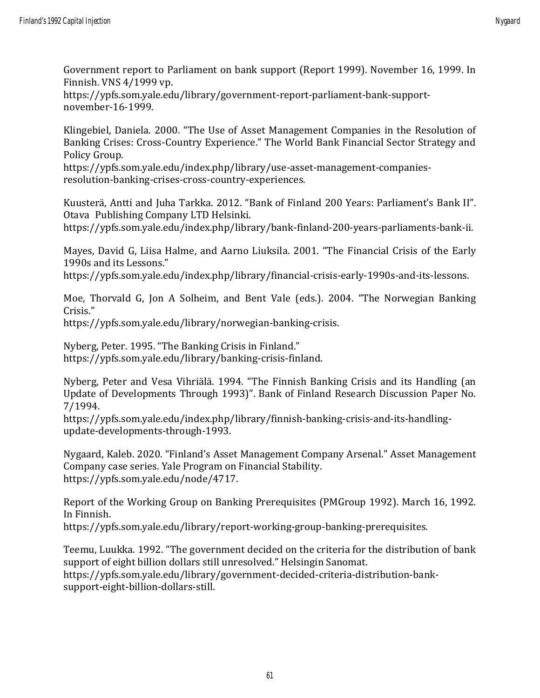Government report to Parliament on bank support (Report 1999). November 16, 1999. In Finnish. VNS 4/1999 vp.

https://ypfs.som.yale.edu/library/government-report-parliament-bank-supportnovember-16-1999.

Klingebiel, Daniela. 2000. "The Use of Asset Management Companies in the Resolution of Banking Crises: Cross-Country Experience." The World Bank Financial Sector Strategy and Policy Group.

https://ypfs.som.yale.edu/index.php/library/use-asset-management-companiesresolution-banking-crises-cross-country-experiences.

Kuusterä, Antti and Juha Tarkka. 2012. "Bank of Finland 200 Years: Parliament's Bank II". Otava Publishing Company LTD Helsinki.

https://ypfs.som.yale.edu/index.php/library/bank-finland-200-years-parliaments-bank-ii.

Mayes, David G, Liisa Halme, and Aarno Liuksila. 2001. "The Financial Crisis of the Early 1990s and its Lessons."

https://ypfs.som.yale.edu/index.php/library/financial-crisis-early-1990s-and-its-lessons.

Moe, Thorvald G, Jon A Solheim, and Bent Vale (eds.). 2004. "The Norwegian Banking Crisis."

https://ypfs.som.yale.edu/library/norwegian-banking-crisis.

Nyberg, Peter. 1995. "The Banking Crisis in Finland." https://ypfs.som.yale.edu/library/banking-crisis-finland.

Nyberg, Peter and Vesa Vihriälä. 1994. "The Finnish Banking Crisis and its Handling (an Update of Developments Through 1993)". Bank of Finland Research Discussion Paper No. 7/1994.

https://ypfs.som.yale.edu/index.php/library/finnish-banking-crisis-and-its-handlingupdate-developments-through-1993.

Nygaard, Kaleb. 2020. "Finland's Asset Management Company Arsenal." Asset Management Company case series. Yale Program on Financial Stability. https://ypfs.som.yale.edu/node/4717.

Report of the Working Group on Banking Prerequisites (PMGroup 1992). March 16, 1992. In Finnish.

https://ypfs.som.yale.edu/library/report-working-group-banking-prerequisites.

Teemu, Luukka. 1992. "The government decided on the criteria for the distribution of bank support of eight billion dollars still unresolved." Helsingin Sanomat. https://ypfs.som.yale.edu/library/government-decided-criteria-distribution-banksupport-eight-billion-dollars-still.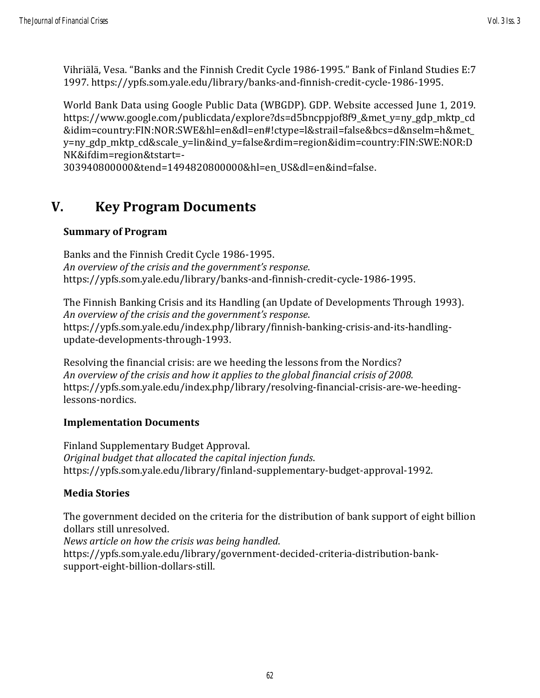Vihriälä, Vesa. "Banks and the Finnish Credit Cycle 1986-1995." Bank of Finland Studies E:7 1997. https://ypfs.som.yale.edu/library/banks-and-finnish-credit-cycle-1986-1995.

World Bank Data using Google Public Data (WBGDP). GDP. Website accessed June 1, 2019. https://www.google.com/publicdata/explore?ds=d5bncppjof8f9\_&met\_y=ny\_gdp\_mktp\_cd &idim=country:FIN:NOR:SWE&hl=en&dl=en#!ctype=l&strail=false&bcs=d&nselm=h&met\_ y=ny\_gdp\_mktp\_cd&scale\_y=lin&ind\_y=false&rdim=region&idim=country:FIN:SWE:NOR:D NK&ifdim=region&tstart=-

303940800000&tend=1494820800000&hl=en\_US&dl=en&ind=false.

# **V. Key Program Documents**

#### **Summary of Program**

Banks and the Finnish Credit Cycle 1986-1995. *An overview of the crisis and the government's response*. https://ypfs.som.yale.edu/library/banks-and-finnish-credit-cycle-1986-1995.

The Finnish Banking Crisis and its Handling (an Update of Developments Through 1993). *An overview of the crisis and the government's response*. https://ypfs.som.yale.edu/index.php/library/finnish-banking-crisis-and-its-handlingupdate-developments-through-1993.

Resolving the financial crisis: are we heeding the lessons from the Nordics? *An overview of the crisis and how it applies to the global financial crisis of 2008.* https://ypfs.som.yale.edu/index.php/library/resolving-financial-crisis-are-we-heedinglessons-nordics.

### **Implementation Documents**

Finland Supplementary Budget Approval. *Original budget that allocated the capital injection funds*. https://ypfs.som.yale.edu/library/finland-supplementary-budget-approval-1992.

### **Media Stories**

The government decided on the criteria for the distribution of bank support of eight billion dollars still unresolved. *News article on how the crisis was being handled*.

https://ypfs.som.yale.edu/library/government-decided-criteria-distribution-banksupport-eight-billion-dollars-still.